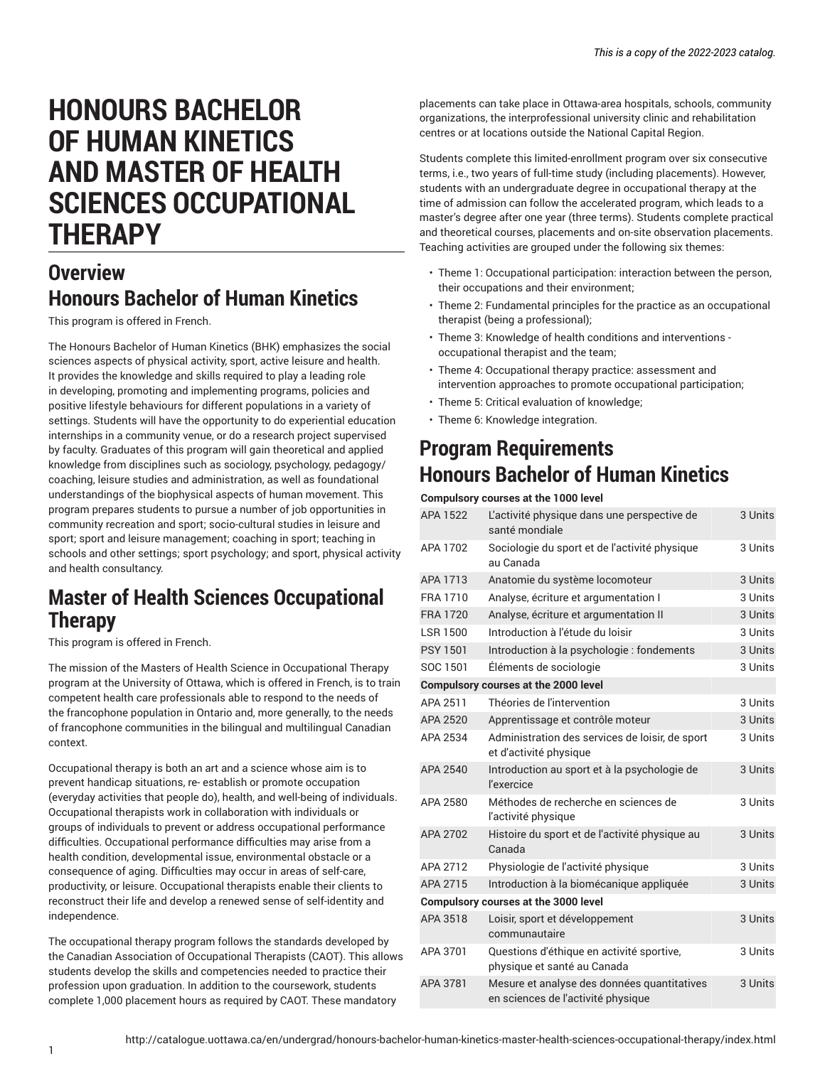# **HONOURS BACHELOR OF HUMAN KINETICS AND MASTER OF HEALTH SCIENCES OCCUPATIONAL THERAPY**

## **Overview Honours Bachelor of Human Kinetics**

This program is offered in French.

The Honours Bachelor of Human Kinetics (BHK) emphasizes the social sciences aspects of physical activity, sport, active leisure and health. It provides the knowledge and skills required to play a leading role in developing, promoting and implementing programs, policies and positive lifestyle behaviours for different populations in a variety of settings. Students will have the opportunity to do experiential education internships in a community venue, or do a research project supervised by faculty. Graduates of this program will gain theoretical and applied knowledge from disciplines such as sociology, psychology, pedagogy/ coaching, leisure studies and administration, as well as foundational understandings of the biophysical aspects of human movement. This program prepares students to pursue a number of job opportunities in community recreation and sport; socio-cultural studies in leisure and sport; sport and leisure management; coaching in sport; teaching in schools and other settings; sport psychology; and sport, physical activity and health consultancy.

# **Master of Health Sciences Occupational Therapy**

This program is offered in French.

The mission of the Masters of Health Science in Occupational Therapy program at the University of Ottawa, which is offered in French, is to train competent health care professionals able to respond to the needs of the francophone population in Ontario and, more generally, to the needs of francophone communities in the bilingual and multilingual Canadian context.

Occupational therapy is both an art and a science whose aim is to prevent handicap situations, re- establish or promote occupation (everyday activities that people do), health, and well-being of individuals. Occupational therapists work in collaboration with individuals or groups of individuals to prevent or address occupational performance difficulties. Occupational performance difficulties may arise from a health condition, developmental issue, environmental obstacle or a consequence of aging. Difficulties may occur in areas of self-care, productivity, or leisure. Occupational therapists enable their clients to reconstruct their life and develop a renewed sense of self-identity and independence.

The occupational therapy program follows the standards developed by the Canadian Association of Occupational Therapists (CAOT). This allows students develop the skills and competencies needed to practice their profession upon graduation. In addition to the coursework, students complete 1,000 placement hours as required by CAOT. These mandatory

placements can take place in Ottawa-area hospitals, schools, community organizations, the interprofessional university clinic and rehabilitation centres or at locations outside the National Capital Region.

Students complete this limited-enrollment program over six consecutive terms, i.e., two years of full-time study (including placements). However, students with an undergraduate degree in occupational therapy at the time of admission can follow the accelerated program, which leads to a master's degree after one year (three terms). Students complete practical and theoretical courses, placements and on-site observation placements. Teaching activities are grouped under the following six themes:

- Theme 1: Occupational participation: interaction between the person, their occupations and their environment;
- Theme 2: Fundamental principles for the practice as an occupational therapist (being a professional);
- Theme 3: Knowledge of health conditions and interventions occupational therapist and the team;
- Theme 4: Occupational therapy practice: assessment and intervention approaches to promote occupational participation;
- Theme 5: Critical evaluation of knowledge;
- Theme 6: Knowledge integration.

## **Program Requirements Honours Bachelor of Human Kinetics**

#### **Compulsory courses at the 1000 level**

| APA 1522                                    | L'activité physique dans une perspective de<br>santé mondiale                     | 3 Units |  |
|---------------------------------------------|-----------------------------------------------------------------------------------|---------|--|
| APA 1702                                    | Sociologie du sport et de l'activité physique<br>au Canada                        | 3 Units |  |
| APA 1713                                    | Anatomie du système locomoteur                                                    | 3 Units |  |
| FRA 1710                                    | Analyse, écriture et argumentation I                                              | 3 Units |  |
| <b>FRA 1720</b>                             | Analyse, écriture et argumentation II                                             | 3 Units |  |
| <b>LSR 1500</b>                             | Introduction à l'étude du loisir                                                  | 3 Units |  |
| <b>PSY 1501</b>                             | Introduction à la psychologie : fondements                                        | 3 Units |  |
| SOC 1501                                    | Éléments de sociologie                                                            | 3 Units |  |
|                                             | <b>Compulsory courses at the 2000 level</b>                                       |         |  |
| APA 2511                                    | Théories de l'intervention                                                        | 3 Units |  |
| APA 2520                                    | Apprentissage et contrôle moteur                                                  | 3 Units |  |
| APA 2534                                    | Administration des services de loisir, de sport<br>et d'activité physique         | 3 Units |  |
| APA 2540                                    | Introduction au sport et à la psychologie de<br><i>l'exercice</i>                 | 3 Units |  |
| APA 2580                                    | Méthodes de recherche en sciences de<br>l'activité physique                       | 3 Units |  |
| APA 2702                                    | Histoire du sport et de l'activité physique au<br>Canada                          | 3 Units |  |
| APA 2712                                    | Physiologie de l'activité physique                                                | 3 Units |  |
| APA 2715                                    | Introduction à la biomécanique appliquée                                          | 3 Units |  |
| <b>Compulsory courses at the 3000 level</b> |                                                                                   |         |  |
| APA 3518                                    | Loisir, sport et développement<br>communautaire                                   | 3 Units |  |
| APA 3701                                    | Questions d'éthique en activité sportive,<br>physique et santé au Canada          | 3 Units |  |
| APA 3781                                    | Mesure et analyse des données quantitatives<br>en sciences de l'activité physique | 3 Units |  |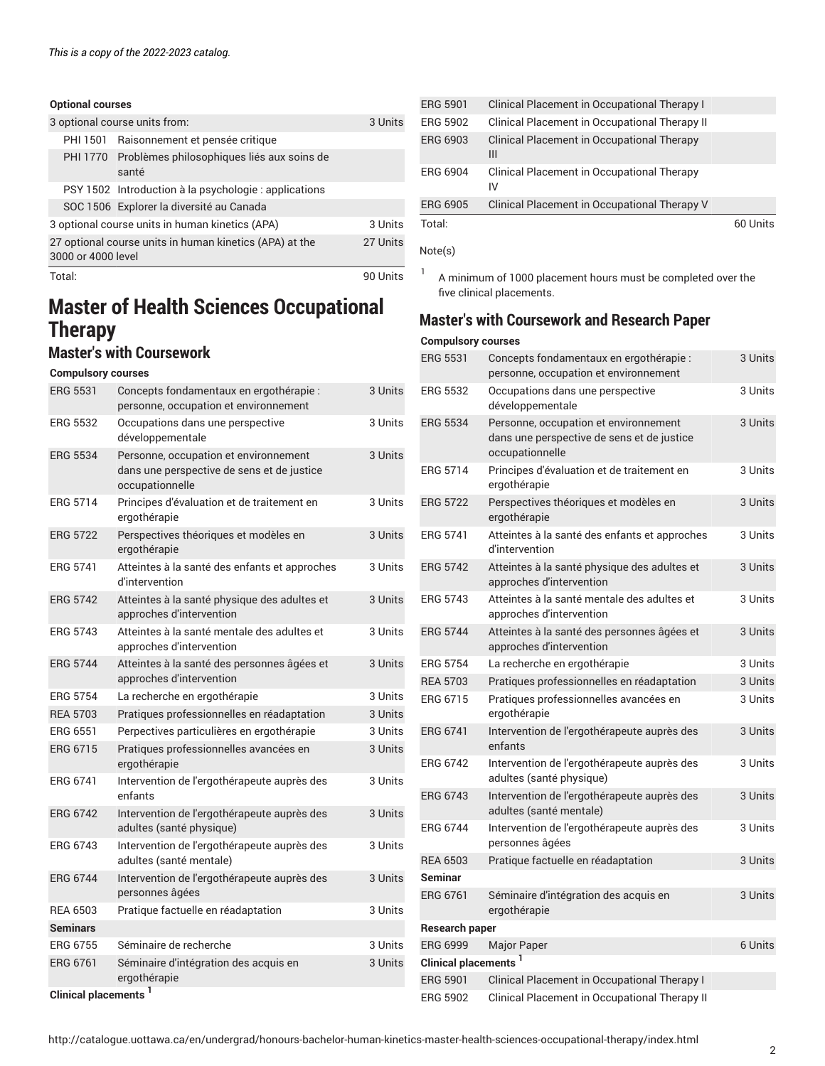| <b>Optional courses</b> |                                                              |          |
|-------------------------|--------------------------------------------------------------|----------|
|                         | 3 optional course units from:                                | 3 Units  |
|                         | PHI 1501 Raisonnement et pensée critique                     |          |
|                         | PHI 1770 Problèmes philosophiques liés aux soins de<br>santé |          |
|                         | PSY 1502 Introduction à la psychologie : applications        |          |
|                         | SOC 1506 Explorer la diversité au Canada                     |          |
|                         | 3 optional course units in human kinetics (APA)              | 3 Units  |
| 3000 or 4000 level      | 27 optional course units in human kinetics (APA) at the      | 27 Units |
| Total:                  |                                                              | 90 Units |

# **Master of Health Sciences Occupational Therapy**

## **Master's with Coursework**

#### **Compulsory courses**

|  | <b>ERG 5531</b>                  | Concepts fondamentaux en ergothérapie :<br>personne, occupation et environnement                       | 3 Units |
|--|----------------------------------|--------------------------------------------------------------------------------------------------------|---------|
|  | <b>ERG 5532</b>                  | Occupations dans une perspective<br>développementale                                                   | 3 Units |
|  | <b>ERG 5534</b>                  | Personne, occupation et environnement<br>dans une perspective de sens et de justice<br>occupationnelle | 3 Units |
|  | <b>ERG 5714</b>                  | Principes d'évaluation et de traitement en<br>ergothérapie                                             | 3 Units |
|  | <b>ERG 5722</b>                  | Perspectives théoriques et modèles en<br>ergothérapie                                                  | 3 Units |
|  | <b>ERG 5741</b>                  | Atteintes à la santé des enfants et approches<br>d'intervention                                        | 3 Units |
|  | <b>ERG 5742</b>                  | Atteintes à la santé physique des adultes et<br>approches d'intervention                               | 3 Units |
|  | <b>ERG 5743</b>                  | Atteintes à la santé mentale des adultes et<br>approches d'intervention                                | 3 Units |
|  | <b>ERG 5744</b>                  | Atteintes à la santé des personnes âgées et<br>approches d'intervention                                | 3 Units |
|  | <b>ERG 5754</b>                  | La recherche en ergothérapie                                                                           | 3 Units |
|  | <b>REA 5703</b>                  | Pratiques professionnelles en réadaptation                                                             | 3 Units |
|  | <b>ERG 6551</b>                  | Perpectives particulières en ergothérapie                                                              | 3 Units |
|  | <b>ERG 6715</b>                  | Pratiques professionnelles avancées en<br>ergothérapie                                                 | 3 Units |
|  | ERG 6741                         | Intervention de l'ergothérapeute auprès des<br>enfants                                                 | 3 Units |
|  | <b>ERG 6742</b>                  | Intervention de l'ergothérapeute auprès des<br>adultes (santé physique)                                | 3 Units |
|  | ERG 6743                         | Intervention de l'ergothérapeute auprès des<br>adultes (santé mentale)                                 | 3 Units |
|  | <b>ERG 6744</b>                  | Intervention de l'ergothérapeute auprès des<br>personnes âgées                                         | 3 Units |
|  | <b>REA 6503</b>                  | Pratique factuelle en réadaptation                                                                     | 3 Units |
|  | <b>Seminars</b>                  |                                                                                                        |         |
|  | <b>ERG 6755</b>                  | Séminaire de recherche                                                                                 | 3 Units |
|  | <b>ERG 6761</b>                  | Séminaire d'intégration des acquis en<br>ergothérapie                                                  | 3 Units |
|  | Clinical placements <sup>1</sup> |                                                                                                        |         |
|  |                                  |                                                                                                        |         |

| <b>ERG 5901</b> | Clinical Placement in Occupational Therapy I     |          |
|-----------------|--------------------------------------------------|----------|
| ERG 5902        | Clinical Placement in Occupational Therapy II    |          |
| ERG 6903        | Clinical Placement in Occupational Therapy<br>Ш  |          |
| <b>ERG 6904</b> | Clinical Placement in Occupational Therapy<br>IV |          |
| <b>ERG 6905</b> | Clinical Placement in Occupational Therapy V     |          |
| Total:          |                                                  | 60 Units |

#### Note(s)

1 A minimum of 1000 placement hours must be completed over the five clinical placements.

## **Master's with Coursework and Research Paper**

#### **Compulsory courses**

| <b>ERG 5531</b>                  | Concepts fondamentaux en ergothérapie :<br>personne, occupation et environnement                       | 3 Units |
|----------------------------------|--------------------------------------------------------------------------------------------------------|---------|
| <b>ERG 5532</b>                  | Occupations dans une perspective<br>développementale                                                   | 3 Units |
| <b>ERG 5534</b>                  | Personne, occupation et environnement<br>dans une perspective de sens et de justice<br>occupationnelle | 3 Units |
| <b>ERG 5714</b>                  | Principes d'évaluation et de traitement en<br>ergothérapie                                             | 3 Units |
| <b>ERG 5722</b>                  | Perspectives théoriques et modèles en<br>ergothérapie                                                  | 3 Units |
| <b>ERG 5741</b>                  | Atteintes à la santé des enfants et approches<br>d'intervention                                        | 3 Units |
| <b>ERG 5742</b>                  | Atteintes à la santé physique des adultes et<br>approches d'intervention                               | 3 Units |
| <b>ERG 5743</b>                  | Atteintes à la santé mentale des adultes et<br>approches d'intervention                                | 3 Units |
| <b>ERG 5744</b>                  | Atteintes à la santé des personnes âgées et<br>approches d'intervention                                | 3 Units |
| <b>ERG 5754</b>                  | La recherche en ergothérapie                                                                           | 3 Units |
| <b>REA 5703</b>                  | Pratiques professionnelles en réadaptation                                                             | 3 Units |
| ERG 6715                         | Pratiques professionnelles avancées en<br>ergothérapie                                                 | 3 Units |
| <b>ERG 6741</b>                  | Intervention de l'ergothérapeute auprès des<br>enfants                                                 | 3 Units |
| <b>ERG 6742</b>                  | Intervention de l'ergothérapeute auprès des<br>adultes (santé physique)                                | 3 Units |
| <b>ERG 6743</b>                  | Intervention de l'ergothérapeute auprès des<br>adultes (santé mentale)                                 | 3 Units |
| <b>ERG 6744</b>                  | Intervention de l'ergothérapeute auprès des<br>personnes âgées                                         | 3 Units |
| <b>REA 6503</b>                  | Pratique factuelle en réadaptation                                                                     | 3 Units |
| <b>Seminar</b>                   |                                                                                                        |         |
| <b>ERG 6761</b>                  | Séminaire d'intégration des acquis en<br>ergothérapie                                                  | 3 Units |
| <b>Research paper</b>            |                                                                                                        |         |
| <b>ERG 6999</b>                  | Major Paper                                                                                            | 6 Units |
| Clinical placements <sup>1</sup> |                                                                                                        |         |
| <b>ERG 5901</b>                  | Clinical Placement in Occupational Therapy I                                                           |         |
| <b>ERG 5902</b>                  | Clinical Placement in Occupational Therapy II                                                          |         |